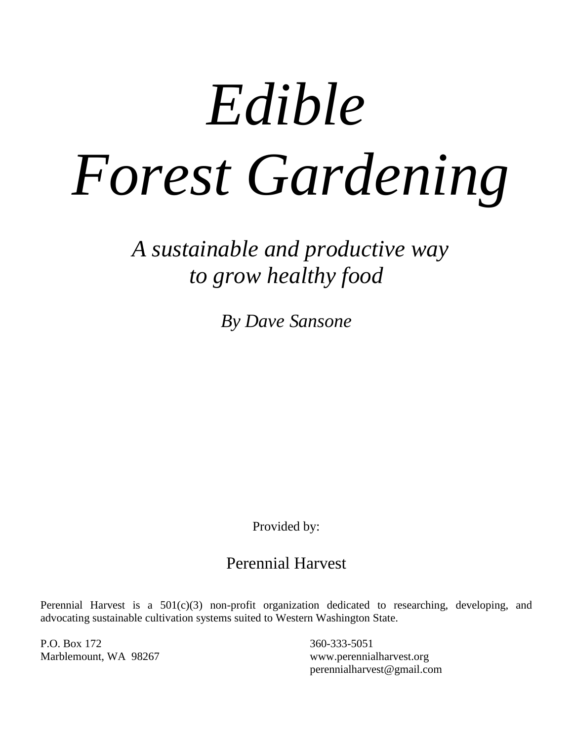# *Edible Forest Gardening*

*A sustainable and productive way to grow healthy food*

*By Dave Sansone*

Provided by:

## Perennial Harvest

Perennial Harvest is a  $501(c)(3)$  non-profit organization dedicated to researching, developing, and advocating sustainable cultivation systems suited to Western Washington State.

P.O. Box 172 360-333-5051

Marblemount, WA 98267 www.perennialharvest.org perennialharvest@gmail.com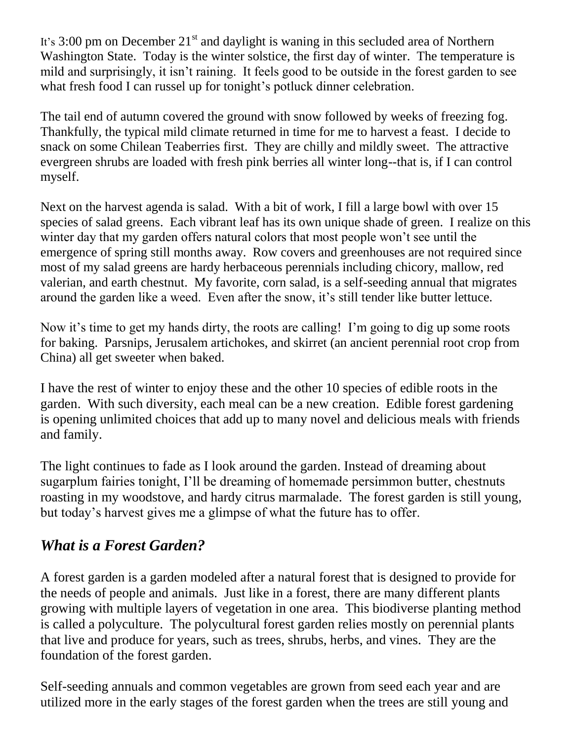It's 3:00 pm on December  $21<sup>st</sup>$  and daylight is waning in this secluded area of Northern Washington State. Today is the winter solstice, the first day of winter. The temperature is mild and surprisingly, it isn't raining. It feels good to be outside in the forest garden to see what fresh food I can russel up for tonight's potluck dinner celebration.

The tail end of autumn covered the ground with snow followed by weeks of freezing fog. Thankfully, the typical mild climate returned in time for me to harvest a feast. I decide to snack on some Chilean Teaberries first. They are chilly and mildly sweet. The attractive evergreen shrubs are loaded with fresh pink berries all winter long--that is, if I can control myself.

Next on the harvest agenda is salad. With a bit of work, I fill a large bowl with over 15 species of salad greens. Each vibrant leaf has its own unique shade of green. I realize on this winter day that my garden offers natural colors that most people won't see until the emergence of spring still months away. Row covers and greenhouses are not required since most of my salad greens are hardy herbaceous perennials including chicory, mallow, red valerian, and earth chestnut. My favorite, corn salad, is a self-seeding annual that migrates around the garden like a weed. Even after the snow, it's still tender like butter lettuce.

Now it's time to get my hands dirty, the roots are calling! I'm going to dig up some roots for baking. Parsnips, Jerusalem artichokes, and skirret (an ancient perennial root crop from China) all get sweeter when baked.

I have the rest of winter to enjoy these and the other 10 species of edible roots in the garden. With such diversity, each meal can be a new creation. Edible forest gardening is opening unlimited choices that add up to many novel and delicious meals with friends and family.

The light continues to fade as I look around the garden. Instead of dreaming about sugarplum fairies tonight, I'll be dreaming of homemade persimmon butter, chestnuts roasting in my woodstove, and hardy citrus marmalade. The forest garden is still young, but today's harvest gives me a glimpse of what the future has to offer.

## *What is a Forest Garden?*

A forest garden is a garden modeled after a natural forest that is designed to provide for the needs of people and animals. Just like in a forest, there are many different plants growing with multiple layers of vegetation in one area. This biodiverse planting method is called a polyculture. The polycultural forest garden relies mostly on perennial plants that live and produce for years, such as trees, shrubs, herbs, and vines. They are the foundation of the forest garden.

Self-seeding annuals and common vegetables are grown from seed each year and are utilized more in the early stages of the forest garden when the trees are still young and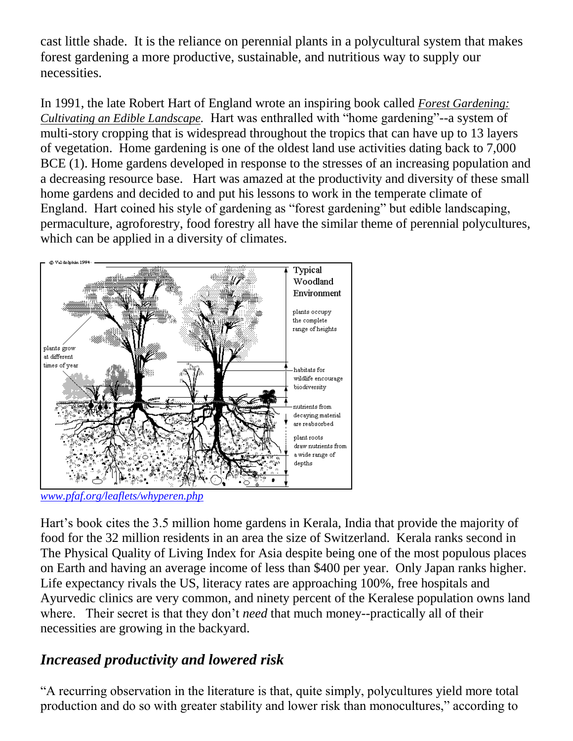cast little shade. It is the reliance on perennial plants in a polycultural system that makes forest gardening a more productive, sustainable, and nutritious way to supply our necessities.

In 1991, the late Robert Hart of England wrote an inspiring book called *Forest Gardening: Cultivating an Edible Landscape.* Hart was enthralled with "home gardening"--a system of multi-story cropping that is widespread throughout the tropics that can have up to 13 layers of vegetation. Home gardening is one of the oldest land use activities dating back to 7,000 BCE (1). Home gardens developed in response to the stresses of an increasing population and a decreasing resource base. Hart was amazed at the productivity and diversity of these small home gardens and decided to and put his lessons to work in the temperate climate of England. Hart coined his style of gardening as "forest gardening" but edible landscaping, permaculture, agroforestry, food forestry all have the similar theme of perennial polycultures, which can be applied in a diversity of climates.



*[www.pfaf.org/leaflets/whyperen.php](http://www.pfaf.org/leaflets/whyperen.php)*

Hart's book cites the 3.5 million home gardens in Kerala, India that provide the majority of food for the 32 million residents in an area the size of Switzerland. Kerala ranks second in The Physical Quality of Living Index for Asia despite being one of the most populous places on Earth and having an average income of less than \$400 per year. Only Japan ranks higher. Life expectancy rivals the US, literacy rates are approaching 100%, free hospitals and Ayurvedic clinics are very common, and ninety percent of the Keralese population owns land where. Their secret is that they don't *need* that much money--practically all of their necessities are growing in the backyard.

## *Increased productivity and lowered risk*

"A recurring observation in the literature is that, quite simply, polycultures yield more total production and do so with greater stability and lower risk than monocultures," according to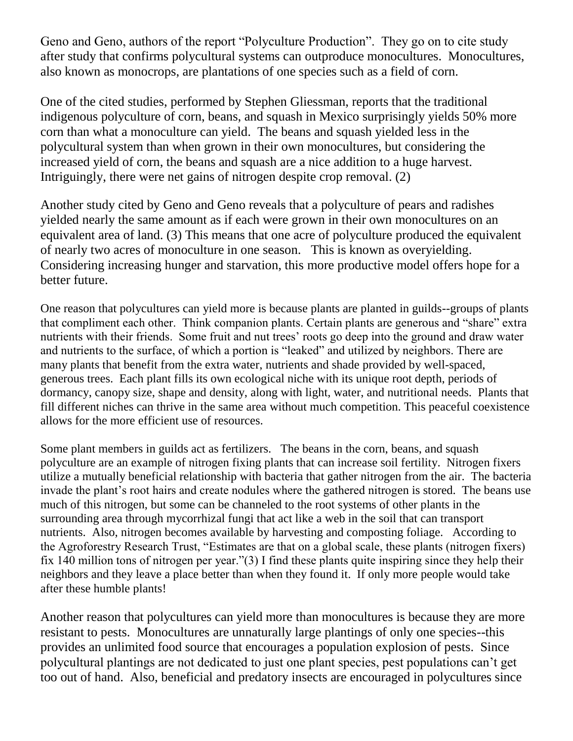Geno and Geno, authors of the report "Polyculture Production". They go on to cite study after study that confirms polycultural systems can outproduce monocultures. Monocultures, also known as monocrops, are plantations of one species such as a field of corn.

One of the cited studies, performed by Stephen Gliessman, reports that the traditional indigenous polyculture of corn, beans, and squash in Mexico surprisingly yields 50% more corn than what a monoculture can yield. The beans and squash yielded less in the polycultural system than when grown in their own monocultures, but considering the increased yield of corn, the beans and squash are a nice addition to a huge harvest. Intriguingly, there were net gains of nitrogen despite crop removal. (2)

Another study cited by Geno and Geno reveals that a polyculture of pears and radishes yielded nearly the same amount as if each were grown in their own monocultures on an equivalent area of land. (3) This means that one acre of polyculture produced the equivalent of nearly two acres of monoculture in one season. This is known as overyielding. Considering increasing hunger and starvation, this more productive model offers hope for a better future.

One reason that polycultures can yield more is because plants are planted in guilds--groups of plants that compliment each other. Think companion plants. Certain plants are generous and "share" extra nutrients with their friends. Some fruit and nut trees' roots go deep into the ground and draw water and nutrients to the surface, of which a portion is "leaked" and utilized by neighbors. There are many plants that benefit from the extra water, nutrients and shade provided by well-spaced, generous trees. Each plant fills its own ecological niche with its unique root depth, periods of dormancy, canopy size, shape and density, along with light, water, and nutritional needs. Plants that fill different niches can thrive in the same area without much competition. This peaceful coexistence allows for the more efficient use of resources.

Some plant members in guilds act as fertilizers. The beans in the corn, beans, and squash polyculture are an example of nitrogen fixing plants that can increase soil fertility. Nitrogen fixers utilize a mutually beneficial relationship with bacteria that gather nitrogen from the air. The bacteria invade the plant's root hairs and create nodules where the gathered nitrogen is stored. The beans use much of this nitrogen, but some can be channeled to the root systems of other plants in the surrounding area through mycorrhizal fungi that act like a web in the soil that can transport nutrients. Also, nitrogen becomes available by harvesting and composting foliage. According to the Agroforestry Research Trust, "Estimates are that on a global scale, these plants (nitrogen fixers) fix 140 million tons of nitrogen per year."(3) I find these plants quite inspiring since they help their neighbors and they leave a place better than when they found it. If only more people would take after these humble plants!

Another reason that polycultures can yield more than monocultures is because they are more resistant to pests. Monocultures are unnaturally large plantings of only one species--this provides an unlimited food source that encourages a population explosion of pests. Since polycultural plantings are not dedicated to just one plant species, pest populations can't get too out of hand. Also, beneficial and predatory insects are encouraged in polycultures since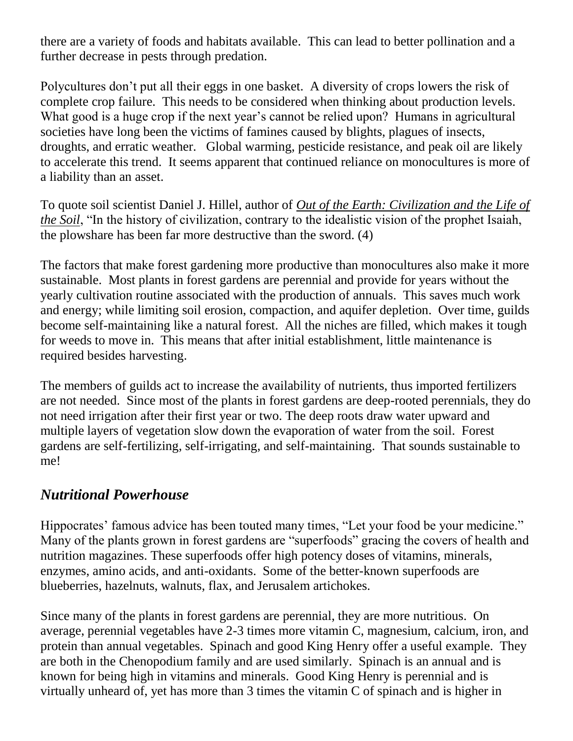there are a variety of foods and habitats available. This can lead to better pollination and a further decrease in pests through predation.

Polycultures don't put all their eggs in one basket. A diversity of crops lowers the risk of complete crop failure. This needs to be considered when thinking about production levels. What good is a huge crop if the next year's cannot be relied upon? Humans in agricultural societies have long been the victims of famines caused by blights, plagues of insects, droughts, and erratic weather. Global warming, pesticide resistance, and peak oil are likely to accelerate this trend. It seems apparent that continued reliance on monocultures is more of a liability than an asset.

To quote soil scientist Daniel J. Hillel, author of *Out of the Earth: Civilization and the Life of the Soil*, "In the history of civilization, contrary to the idealistic vision of the prophet Isaiah, the plowshare has been far more destructive than the sword. (4)

The factors that make forest gardening more productive than monocultures also make it more sustainable. Most plants in forest gardens are perennial and provide for years without the yearly cultivation routine associated with the production of annuals. This saves much work and energy; while limiting soil erosion, compaction, and aquifer depletion. Over time, guilds become self-maintaining like a natural forest. All the niches are filled, which makes it tough for weeds to move in. This means that after initial establishment, little maintenance is required besides harvesting.

The members of guilds act to increase the availability of nutrients, thus imported fertilizers are not needed. Since most of the plants in forest gardens are deep-rooted perennials, they do not need irrigation after their first year or two. The deep roots draw water upward and multiple layers of vegetation slow down the evaporation of water from the soil. Forest gardens are self-fertilizing, self-irrigating, and self-maintaining. That sounds sustainable to me!

## *Nutritional Powerhouse*

Hippocrates' famous advice has been touted many times, "Let your food be your medicine." Many of the plants grown in forest gardens are "superfoods" gracing the covers of health and nutrition magazines. These superfoods offer high potency doses of vitamins, minerals, enzymes, amino acids, and anti-oxidants. Some of the better-known superfoods are blueberries, hazelnuts, walnuts, flax, and Jerusalem artichokes.

Since many of the plants in forest gardens are perennial, they are more nutritious. On average, perennial vegetables have 2-3 times more vitamin C, magnesium, calcium, iron, and protein than annual vegetables. Spinach and good King Henry offer a useful example. They are both in the Chenopodium family and are used similarly. Spinach is an annual and is known for being high in vitamins and minerals. Good King Henry is perennial and is virtually unheard of, yet has more than 3 times the vitamin C of spinach and is higher in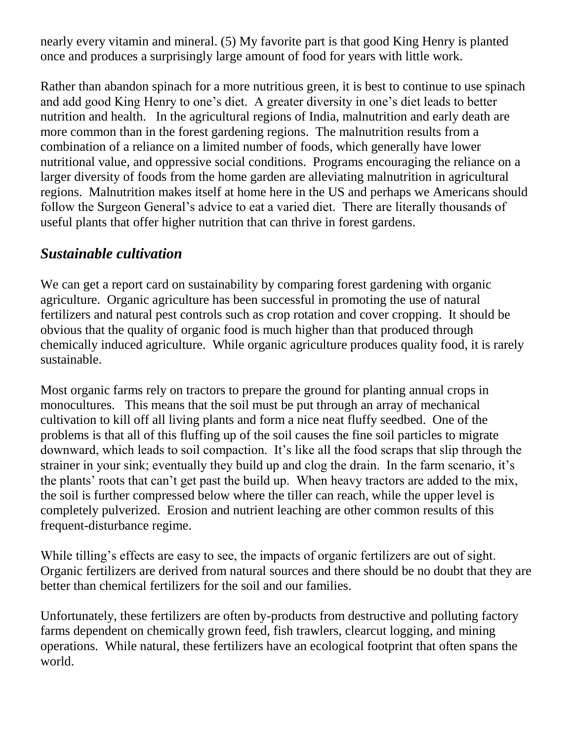nearly every vitamin and mineral. (5) My favorite part is that good King Henry is planted once and produces a surprisingly large amount of food for years with little work.

Rather than abandon spinach for a more nutritious green, it is best to continue to use spinach and add good King Henry to one's diet. A greater diversity in one's diet leads to better nutrition and health. In the agricultural regions of India, malnutrition and early death are more common than in the forest gardening regions. The malnutrition results from a combination of a reliance on a limited number of foods, which generally have lower nutritional value, and oppressive social conditions. Programs encouraging the reliance on a larger diversity of foods from the home garden are alleviating malnutrition in agricultural regions. Malnutrition makes itself at home here in the US and perhaps we Americans should follow the Surgeon General's advice to eat a varied diet. There are literally thousands of useful plants that offer higher nutrition that can thrive in forest gardens.

#### *Sustainable cultivation*

We can get a report card on sustainability by comparing forest gardening with organic agriculture. Organic agriculture has been successful in promoting the use of natural fertilizers and natural pest controls such as crop rotation and cover cropping. It should be obvious that the quality of organic food is much higher than that produced through chemically induced agriculture. While organic agriculture produces quality food, it is rarely sustainable.

Most organic farms rely on tractors to prepare the ground for planting annual crops in monocultures. This means that the soil must be put through an array of mechanical cultivation to kill off all living plants and form a nice neat fluffy seedbed. One of the problems is that all of this fluffing up of the soil causes the fine soil particles to migrate downward, which leads to soil compaction. It's like all the food scraps that slip through the strainer in your sink; eventually they build up and clog the drain. In the farm scenario, it's the plants' roots that can't get past the build up. When heavy tractors are added to the mix, the soil is further compressed below where the tiller can reach, while the upper level is completely pulverized. Erosion and nutrient leaching are other common results of this frequent-disturbance regime.

While tilling's effects are easy to see, the impacts of organic fertilizers are out of sight. Organic fertilizers are derived from natural sources and there should be no doubt that they are better than chemical fertilizers for the soil and our families.

Unfortunately, these fertilizers are often by-products from destructive and polluting factory farms dependent on chemically grown feed, fish trawlers, clearcut logging, and mining operations. While natural, these fertilizers have an ecological footprint that often spans the world.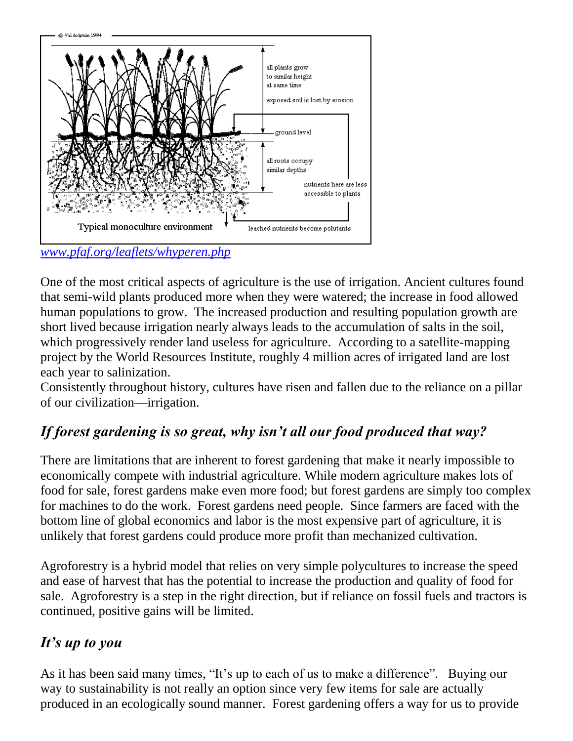

*[www.pfaf.org/leaflets/whyperen.php](http://www.pfaf.org/leaflets/whyperen.php)*

One of the most critical aspects of agriculture is the use of irrigation. Ancient cultures found that semi-wild plants produced more when they were watered; the increase in food allowed human populations to grow. The increased production and resulting population growth are short lived because irrigation nearly always leads to the accumulation of salts in the soil, which progressively render land useless for agriculture. According to a satellite-mapping project by the World Resources Institute, roughly 4 million acres of irrigated land are lost each year to salinization.

Consistently throughout history, cultures have risen and fallen due to the reliance on a pillar of our civilization—irrigation.

# *If forest gardening is so great, why isn't all our food produced that way?*

There are limitations that are inherent to forest gardening that make it nearly impossible to economically compete with industrial agriculture. While modern agriculture makes lots of food for sale, forest gardens make even more food; but forest gardens are simply too complex for machines to do the work. Forest gardens need people. Since farmers are faced with the bottom line of global economics and labor is the most expensive part of agriculture, it is unlikely that forest gardens could produce more profit than mechanized cultivation.

Agroforestry is a hybrid model that relies on very simple polycultures to increase the speed and ease of harvest that has the potential to increase the production and quality of food for sale. Agroforestry is a step in the right direction, but if reliance on fossil fuels and tractors is continued, positive gains will be limited.

## *It's up to you*

As it has been said many times, "It's up to each of us to make a difference". Buying our way to sustainability is not really an option since very few items for sale are actually produced in an ecologically sound manner. Forest gardening offers a way for us to provide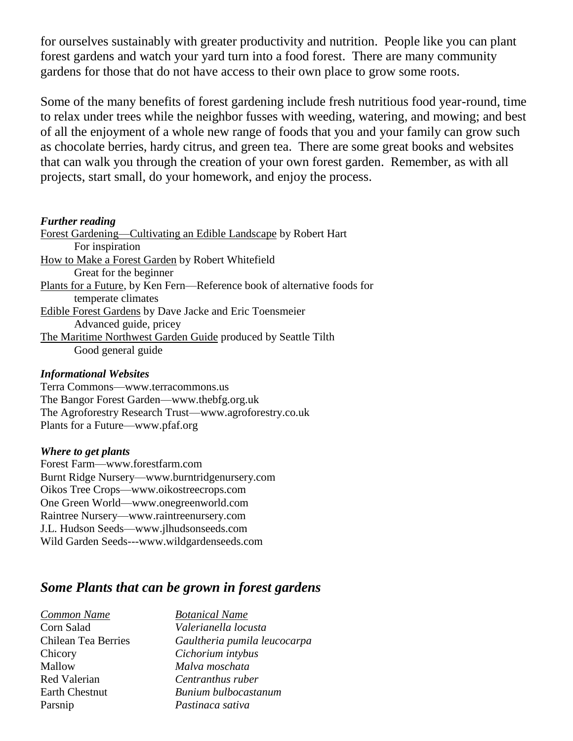for ourselves sustainably with greater productivity and nutrition. People like you can plant forest gardens and watch your yard turn into a food forest. There are many community gardens for those that do not have access to their own place to grow some roots.

Some of the many benefits of forest gardening include fresh nutritious food year-round, time to relax under trees while the neighbor fusses with weeding, watering, and mowing; and best of all the enjoyment of a whole new range of foods that you and your family can grow such as chocolate berries, hardy citrus, and green tea. There are some great books and websites that can walk you through the creation of your own forest garden. Remember, as with all projects, start small, do your homework, and enjoy the process.

#### *Further reading*

Forest Gardening—Cultivating an Edible Landscape by Robert Hart For inspiration How to Make a Forest Garden by Robert Whitefield Great for the beginner Plants for a Future, by Ken Fern—Reference book of alternative foods for temperate climates Edible Forest Gardens by Dave Jacke and Eric Toensmeier Advanced guide, pricey The Maritime Northwest Garden Guide produced by Seattle Tilth Good general guide

#### *Informational Websites*

Terra Commons—www.terracommons.us The Bangor Forest Garden—www.thebfg.org.uk The Agroforestry Research Trust—www.agroforestry.co.uk Plants for a Future—www.pfaf.org

#### *Where to get plants*

Forest Farm—www.forestfarm.com Burnt Ridge Nursery—www.burntridgenursery.com Oikos Tree Crops—www.oikostreecrops.com One Green World—www.onegreenworld.com Raintree Nursery—www.raintreenursery.com J.L. Hudson Seeds—www.jlhudsonseeds.com Wild Garden Seeds---www.wildgardenseeds.com

#### *Some Plants that can be grown in forest gardens*

| <b>Common Name</b>    | <b>Botanical Name</b>        |
|-----------------------|------------------------------|
| Corn Salad            | Valerianella locusta         |
| Chilean Tea Berries   | Gaultheria pumila leucocarpa |
| Chicory               | Cichorium intybus            |
| Mallow                | Malva moschata               |
| Red Valerian          | Centranthus ruber            |
| <b>Earth Chestnut</b> | Bunium bulbocastanum         |
| Parsnip               | Pastinaca sativa             |